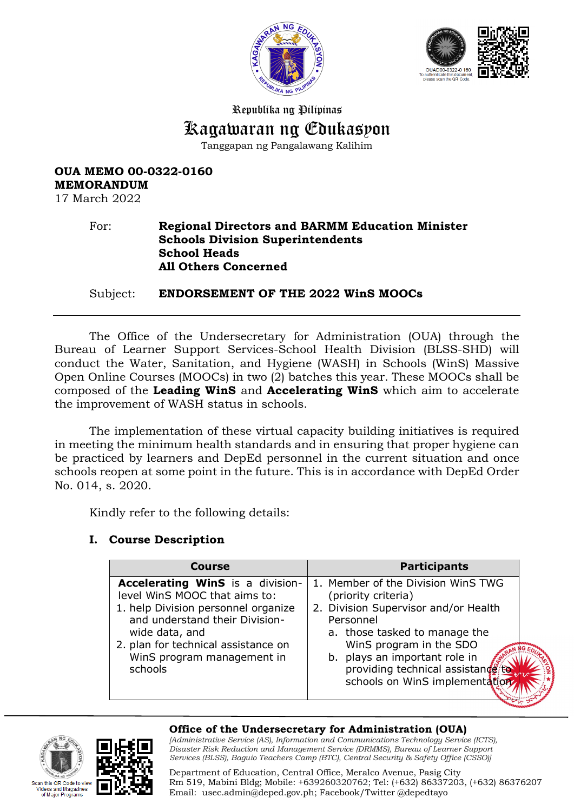



Republika ng Pilipinas Kagawaran ng Edukasyon Tanggapan ng Pangalawang Kalihim

# **OUA MEMO 00-0322-0160 MEMORANDUM**

17 March 2022

#### For: **Regional Directors and BARMM Education Minister Schools Division Superintendents School Heads All Others Concerned**

Subject: **ENDORSEMENT OF THE 2022 WinS MOOCs** 

The Office of the Undersecretary for Administration (OUA) through the Bureau of Learner Support Services-School Health Division (BLSS-SHD) will conduct the Water, Sanitation, and Hygiene (WASH) in Schools (WinS) Massive Open Online Courses (MOOCs) in two (2) batches this year. These MOOCs shall be composed of the **Leading WinS** and **Accelerating WinS** which aim to accelerate the improvement of WASH status in schools.

The implementation of these virtual capacity building initiatives is required in meeting the minimum health standards and in ensuring that proper hygiene can be practiced by learners and DepEd personnel in the current situation and once schools reopen at some point in the future. This is in accordance with DepEd Order No. 014, s. 2020.

Kindly refer to the following details:

# **I. Course Description**

| <b>Course</b>                                                                                                                                                                                                                                | <b>Participants</b>                                                                                                                                                                                                                                                                |  |  |
|----------------------------------------------------------------------------------------------------------------------------------------------------------------------------------------------------------------------------------------------|------------------------------------------------------------------------------------------------------------------------------------------------------------------------------------------------------------------------------------------------------------------------------------|--|--|
| Accelerating WinS is a division-<br>level WinS MOOC that aims to:<br>1. help Division personnel organize<br>and understand their Division-<br>wide data, and<br>2. plan for technical assistance on<br>WinS program management in<br>schools | 1. Member of the Division WinS TWG<br>(priority criteria)<br>2. Division Supervisor and/or Health<br>Personnel<br>a. those tasked to manage the<br>WinS program in the SDO<br>b. plays an important role in<br>providing technical assistance to<br>schools on WinS implementation |  |  |





#### **Office of the Undersecretary for Administration (OUA)**

*[Administrative Service (AS), Information and Communications Technology Service (ICTS), Disaster Risk Reduction and Management Service (DRMMS), Bureau of Learner Support Services (BLSS), Baguio Teachers Camp (BTC), Central Security & Safety Office (CSSO)]*

Department of Education, Central Office, Meralco Avenue, Pasig City Rm 519, Mabini Bldg; Mobile: +639260320762; Tel: (+632) 86337203, (+632) 86376207 Email: [usec.admin@deped.gov.ph;](mailto:usec.admin@deped.gov.ph) Facebook/Twitter @depedtayo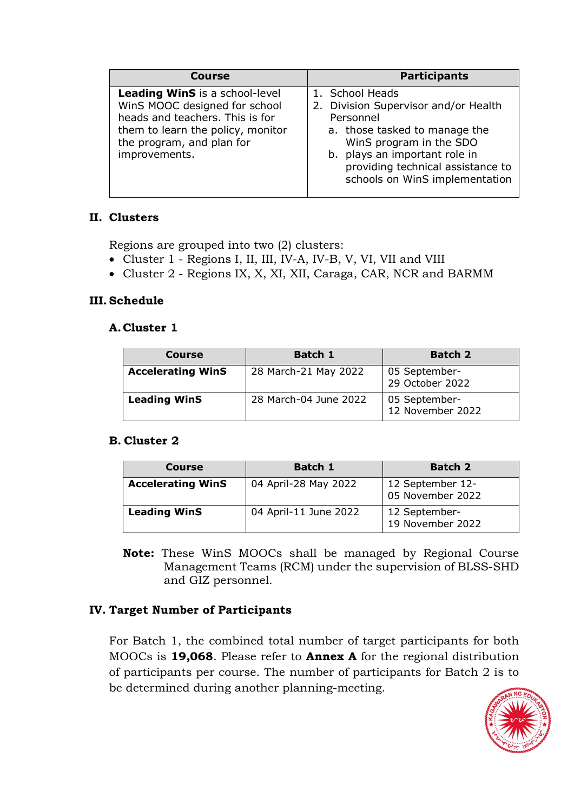| Course                                                                                                                                                                                       | <b>Participants</b>                                                                                                                                                                                                                      |
|----------------------------------------------------------------------------------------------------------------------------------------------------------------------------------------------|------------------------------------------------------------------------------------------------------------------------------------------------------------------------------------------------------------------------------------------|
| <b>Leading WinS</b> is a school-level<br>WinS MOOC designed for school<br>heads and teachers. This is for<br>them to learn the policy, monitor<br>the program, and plan for<br>improvements. | 1. School Heads<br>2. Division Supervisor and/or Health<br>Personnel<br>a. those tasked to manage the<br>WinS program in the SDO<br>b. plays an important role in<br>providing technical assistance to<br>schools on WinS implementation |

## **II. Clusters**

Regions are grouped into two (2) clusters:

- Cluster 1 Regions I, II, III, IV-A, IV-B, V, VI, VII and VIII
- Cluster 2 Regions IX, X, XI, XII, Caraga, CAR, NCR and BARMM

## **III. Schedule**

## **A.Cluster 1**

| Course                   | <b>Batch 1</b>        | <b>Batch 2</b>                    |  |
|--------------------------|-----------------------|-----------------------------------|--|
| <b>Accelerating WinS</b> | 28 March-21 May 2022  | 05 September-<br>29 October 2022  |  |
| <b>Leading WinS</b>      | 28 March-04 June 2022 | 05 September-<br>12 November 2022 |  |

#### **B. Cluster 2**

| Course                   | <b>Batch 1</b>        | <b>Batch 2</b>                       |  |
|--------------------------|-----------------------|--------------------------------------|--|
| <b>Accelerating WinS</b> | 04 April-28 May 2022  | 12 September 12-<br>05 November 2022 |  |
| <b>Leading WinS</b>      | 04 April-11 June 2022 | 12 September-<br>19 November 2022    |  |

**Note:** These WinS MOOCs shall be managed by Regional Course Management Teams (RCM) under the supervision of BLSS-SHD and GIZ personnel.

# **IV. Target Number of Participants**

For Batch 1, the combined total number of target participants for both MOOCs is **19,068**. Please refer to **Annex A** for the regional distribution of participants per course. The number of participants for Batch 2 is to be determined during another planning-meeting.

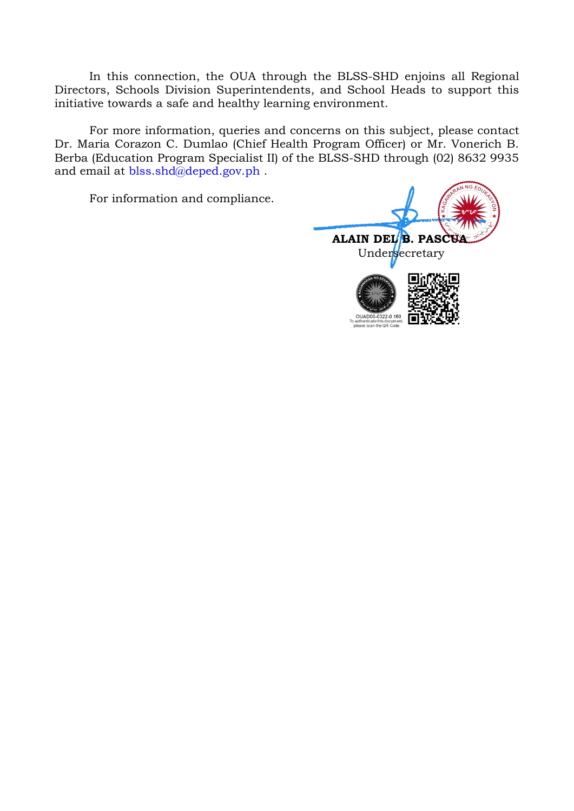In this connection, the OUA through the BLSS-SHD enjoins all Regional Directors, Schools Division Superintendents, and School Heads to support this initiative towards a safe and healthy learning environment.

For more information, queries and concerns on this subject, please contact Dr. Maria Corazon C. Dumlao (Chief Health Program Officer) or Mr. Vonerich B. Berba (Education Program Specialist II) of the BLSS-SHD through (02) 8632 9935 and email at [blss.shd@deped.gov.ph](mailto:blss.shd@deped.gov.ph).

For information and compliance.